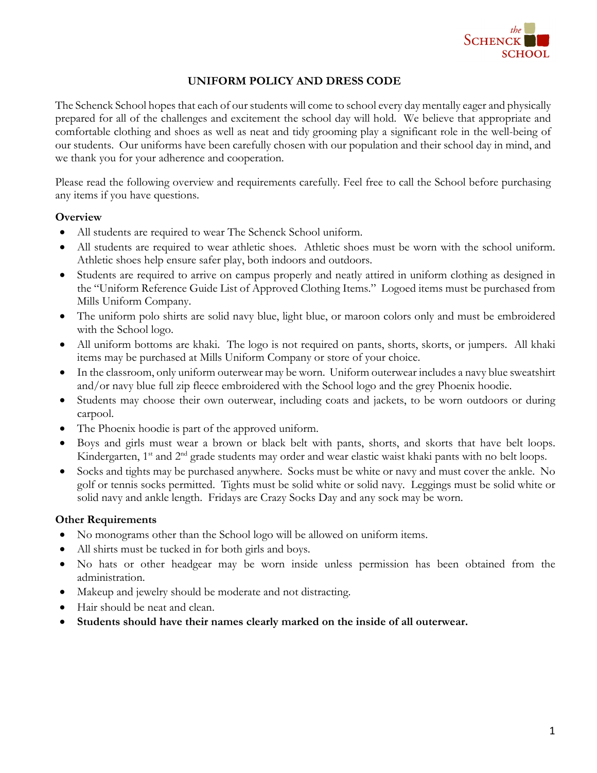

## **UNIFORM POLICY AND DRESS CODE**

The Schenck School hopes that each of our students will come to school every day mentally eager and physically prepared for all of the challenges and excitement the school day will hold. We believe that appropriate and comfortable clothing and shoes as well as neat and tidy grooming play a significant role in the well-being of our students. Our uniforms have been carefully chosen with our population and their school day in mind, and we thank you for your adherence and cooperation.

Please read the following overview and requirements carefully. Feel free to call the School before purchasing any items if you have questions.

## **Overview**

- All students are required to wear The Schenck School uniform.
- All students are required to wear athletic shoes. Athletic shoes must be worn with the school uniform. Athletic shoes help ensure safer play, both indoors and outdoors.
- Students are required to arrive on campus properly and neatly attired in uniform clothing as designed in the "Uniform Reference Guide List of Approved Clothing Items." Logoed items must be purchased from Mills Uniform Company.
- The uniform polo shirts are solid navy blue, light blue, or maroon colors only and must be embroidered with the School logo.
- All uniform bottoms are khaki. The logo is not required on pants, shorts, skorts, or jumpers. All khaki items may be purchased at Mills Uniform Company or store of your choice.
- In the classroom, only uniform outerwear may be worn. Uniform outerwear includes a navy blue sweatshirt and/or navy blue full zip fleece embroidered with the School logo and the grey Phoenix hoodie.
- Students may choose their own outerwear, including coats and jackets, to be worn outdoors or during carpool.
- The Phoenix hoodie is part of the approved uniform.
- Boys and girls must wear a brown or black belt with pants, shorts, and skorts that have belt loops. Kindergarten, 1<sup>st</sup> and 2<sup>nd</sup> grade students may order and wear elastic waist khaki pants with no belt loops.
- Socks and tights may be purchased anywhere. Socks must be white or navy and must cover the ankle. No golf or tennis socks permitted. Tights must be solid white or solid navy. Leggings must be solid white or solid navy and ankle length. Fridays are Crazy Socks Day and any sock may be worn.

#### **Other Requirements**

- No monograms other than the School logo will be allowed on uniform items.
- All shirts must be tucked in for both girls and boys.
- No hats or other headgear may be worn inside unless permission has been obtained from the administration.
- Makeup and jewelry should be moderate and not distracting.
- Hair should be neat and clean.
- **Students should have their names clearly marked on the inside of all outerwear.**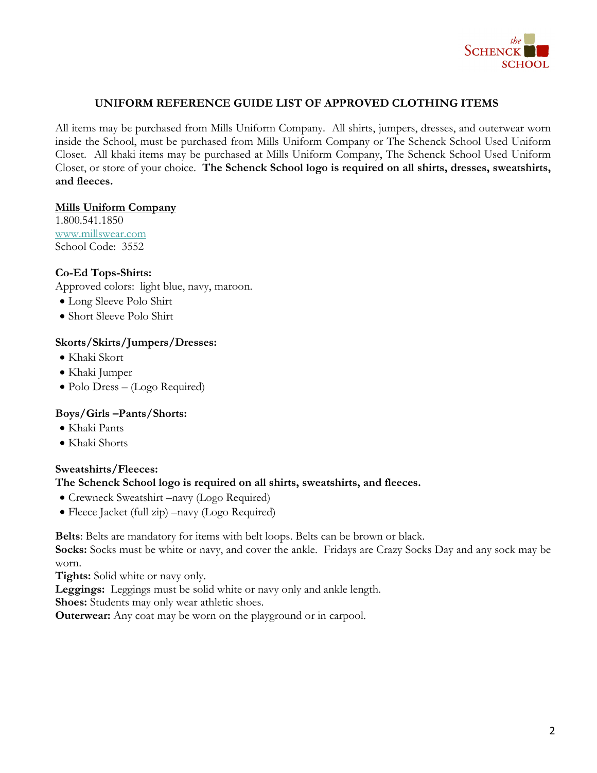

## **UNIFORM REFERENCE GUIDE LIST OF APPROVED CLOTHING ITEMS**

All items may be purchased from Mills Uniform Company. All shirts, jumpers, dresses, and outerwear worn inside the School, must be purchased from Mills Uniform Company or The Schenck School Used Uniform Closet. All khaki items may be purchased at Mills Uniform Company, The Schenck School Used Uniform Closet, or store of your choice. **The Schenck School logo is required on all shirts, dresses, sweatshirts, and fleeces.**

#### **Mills Uniform Company**

1.800.541.1850 www.millswear.com School Code: 3552

## **Co-Ed Tops-Shirts:**

Approved colors: light blue, navy, maroon.

- Long Sleeve Polo Shirt
- Short Sleeve Polo Shirt

#### **Skorts/Skirts/Jumpers/Dresses:**

- Khaki Skort
- Khaki Jumper
- Polo Dress (Logo Required)

## **Boys/Girls –Pants/Shorts:**

- Khaki Pants
- Khaki Shorts

## **Sweatshirts/Fleeces:**

## **The Schenck School logo is required on all shirts, sweatshirts, and fleeces.**

- Crewneck Sweatshirt –navy (Logo Required)
- Fleece Jacket (full zip) –navy (Logo Required)

**Belts**: Belts are mandatory for items with belt loops. Belts can be brown or black.

**Socks:** Socks must be white or navy, and cover the ankle. Fridays are Crazy Socks Day and any sock may be worn.

**Tights:** Solid white or navy only.

**Leggings:** Leggings must be solid white or navy only and ankle length.

**Shoes:** Students may only wear athletic shoes.

**Outerwear:** Any coat may be worn on the playground or in carpool.